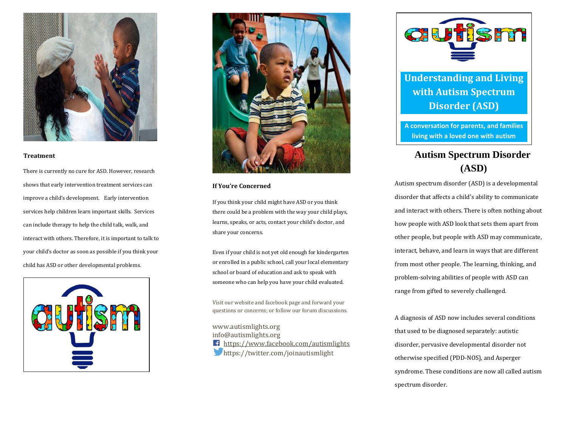

### **Treatment**

There is currently no cure for ASD. However, research shows that early intervention treatment services can improve a child's development. Early intervention services help children learn important skills. Services can include therapy to help the child talk, walk, and interact with others. Therefore, it is important to talk to your child's doctor as soon as possible if you think your child has ASD or other developmental problems.





# **If You're Concerned**

If you think your child might have ASD or you think there could be a problem with the way your child plays, learns, speaks, or acts, contact your child's doctor, and share your concerns.

Even if your child is not yet old enough for kindergarten or enrolled in a public school, call your local elementary school or board of education and ask to speak with someone who can help you have your child evaluated.

Visit our website and facebook page and forward your questions or concerns; or follow our forum discussions.

www.autismlights.org info@autismlights.org <https://www.facebook.com/autismlights> https://twitter.com/joinautismlight



**Understanding and Living with Autism Spectrum Disorder (ASD)**

**A conversation for parents, and families living with a loved one with autism**

# **Autism Spectrum Disorder (ASD)**

Autism spectrum disorder (ASD) is a developmental disorder that affects a child's ability to communicate and interact with others. There is often nothing about how people with ASD look that sets them apart from other people, but people with ASD may communicate, interact, behave, and learn in ways that are different from most other people. The learning, thinking, and problem-solving abilities of people with ASD can range from gifted to severely challenged.

A diagnosis of ASD now includes several conditions that used to be diagnosed separately: autistic disorder, pervasive developmental disorder not otherwise specified (PDD-NOS), and Asperger syndrome. These conditions are now all called autism spectrum disorder.